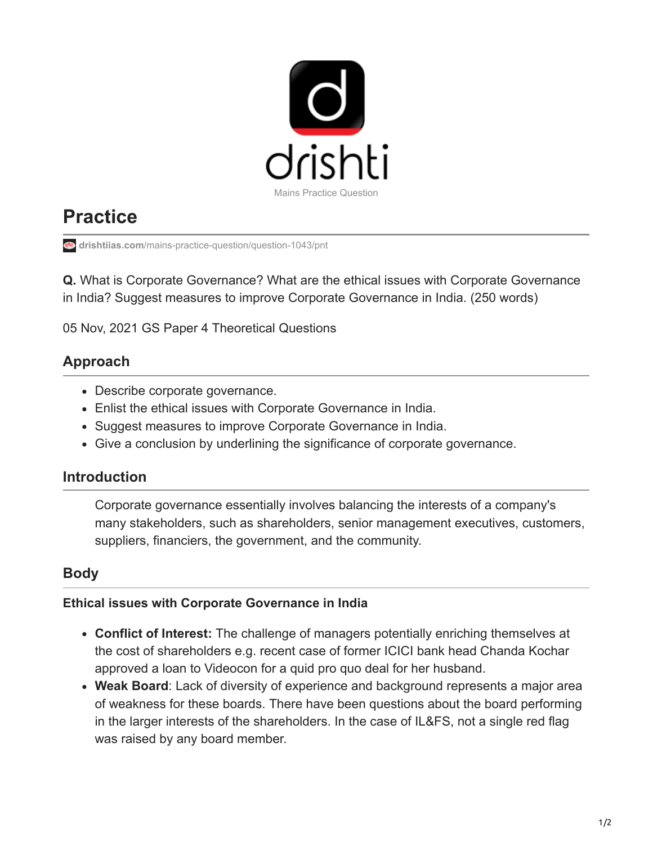

# **Practice**

**drishtiias.com**[/mains-practice-question/question-1043/pnt](https://www.drishtiias.com/mains-practice-question/question-1043/pnt)

**Q.** What is Corporate Governance? What are the ethical issues with Corporate Governance in India? Suggest measures to improve Corporate Governance in India. (250 words)

05 Nov, 2021 GS Paper 4 Theoretical Questions

## **Approach**

- Describe corporate governance.
- Enlist the ethical issues with Corporate Governance in India.
- Suggest measures to improve Corporate Governance in India.
- Give a conclusion by underlining the significance of corporate governance.

## **Introduction**

Corporate governance essentially involves balancing the interests of a company's many stakeholders, such as shareholders, senior management executives, customers, suppliers, financiers, the government, and the community.

## **Body**

#### **Ethical issues with Corporate Governance in India**

- **Conflict of Interest:** The challenge of managers potentially enriching themselves at the cost of shareholders e.g. recent case of former ICICI bank head Chanda Kochar approved a loan to Videocon for a quid pro quo deal for her husband.
- **Weak Board**: Lack of diversity of experience and background represents a major area of weakness for these boards. There have been questions about the board performing in the larger interests of the shareholders. In the case of IL&FS, not a single red flag was raised by any board member.